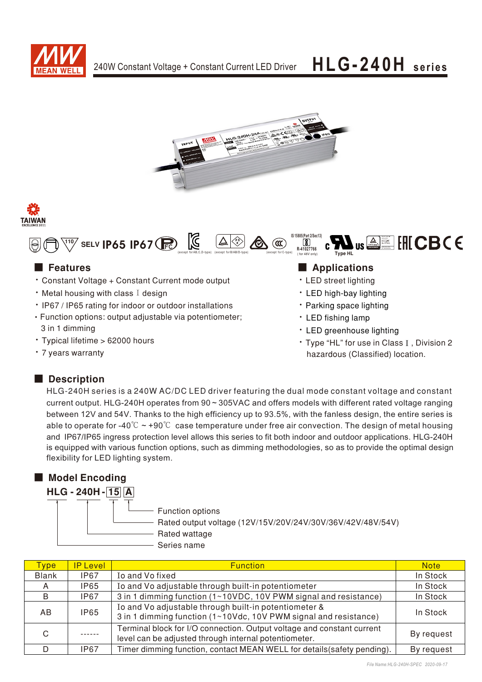







- Constant Voltage + Constant Current mode output
- $\cdot$  Metal housing with class I design
- IP67 / IP65 rating for indoor or outdoor installations
- Function options: output adjustable via potentiometer; 3 in 1 dimming
- · Typical lifetime > 62000 hours
- 7 years warranty

## ■ Features ■ Applications

- LED street lighting
- LED high-bay lighting
- Parking space lighting
- LED fishing lamp
- LED greenhouse lighting
- Type "HL" for use in Class I, Division 2 hazardous (Classified) location.

## ■ Description

HLG-240H series is a 240W AC/DC LED driver featuring the dual mode constant voltage and constant current output. HLG-240H operates from 90 ~ 305VAC and offers models with different rated voltage ranging between 12V and 54V. Thanks to the high efficiency up to 93.5%, with the fanless design, the entire series is able to operate for -40° $\degree$   $\sim$  +90 $\degree$  $\degree$  case temperature under free air convection. The design of metal housing and IP67/IP65 ingress protection level allows this series to fit both indoor and outdoor applications. HLG-240H is equipped with various function options, such as dimming methodologies, so as to provide the optimal design flexibility for LED lighting system.

## ■ Model Encoding

**HLG-240H-15A** 

- Function options

Rated output voltage (12V/15V/20V/24V/30V/36V/42V/48V/54V)

Rated wattage

- Series name

| <b>Type</b>  | <b>IP Level</b> | <b>Function</b>                                                                                                                 | <b>Note</b> |
|--------------|-----------------|---------------------------------------------------------------------------------------------------------------------------------|-------------|
| <b>Blank</b> | IP67            | Io and Vo fixed                                                                                                                 | In Stock    |
| A            | IP65            | Io and Vo adjustable through built-in potentiometer                                                                             | In Stock    |
| B            | IP67            | 3 in 1 dimming function (1~10VDC, 10V PWM signal and resistance)                                                                | In Stock    |
| AB.          | <b>IP65</b>     | Io and Vo adjustable through built-in potentiometer &<br>3 in 1 dimming function (1~10Vdc, 10V PWM signal and resistance)       | In Stock    |
| C            |                 | Terminal block for I/O connection. Output voltage and constant current<br>level can be adjusted through internal potentiometer. | By request  |
| D            | <b>IP67</b>     | Timer dimming function, contact MEAN WELL for details (safety pending).                                                         | By request  |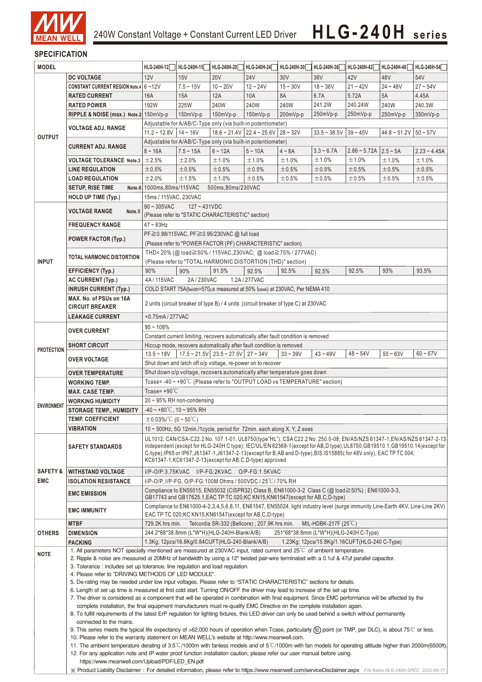

## **SPECIFICATION**

| <b>MODEL</b>                      |                                                                                                                                                                                                                                                                                                                                                                                                                                                                                                                                                                                                               | HLG-240H-12                                                                                                                                                                                                                                                                                                                                                                                                                            | HLG-240H-15                                     | HLG-240H-20 | HLG-240H-24                                                                         | HLG-240H-30 | HLG-240H-36                                   | HLG-240H-42                             | HLG-240H-48 | HLG-240H-54    |
|-----------------------------------|---------------------------------------------------------------------------------------------------------------------------------------------------------------------------------------------------------------------------------------------------------------------------------------------------------------------------------------------------------------------------------------------------------------------------------------------------------------------------------------------------------------------------------------------------------------------------------------------------------------|----------------------------------------------------------------------------------------------------------------------------------------------------------------------------------------------------------------------------------------------------------------------------------------------------------------------------------------------------------------------------------------------------------------------------------------|-------------------------------------------------|-------------|-------------------------------------------------------------------------------------|-------------|-----------------------------------------------|-----------------------------------------|-------------|----------------|
|                                   | <b>DC VOLTAGE</b>                                                                                                                                                                                                                                                                                                                                                                                                                                                                                                                                                                                             | 12V                                                                                                                                                                                                                                                                                                                                                                                                                                    | 15V                                             | <b>20V</b>  | <b>24V</b>                                                                          | 30V         | 36V                                           | 42V                                     | 48V         | 54V            |
|                                   | CONSTANT CURRENT REGION Note.4 6~12V                                                                                                                                                                                                                                                                                                                                                                                                                                                                                                                                                                          |                                                                                                                                                                                                                                                                                                                                                                                                                                        | $7.5 - 15V$                                     | $10 - 20V$  | $12 - 24V$                                                                          | $15 - 30V$  | $18 - 36V$                                    | $21 - 42V$                              | $24 - 48V$  | $27 - 54V$     |
|                                   | <b>RATED CURRENT</b>                                                                                                                                                                                                                                                                                                                                                                                                                                                                                                                                                                                          | 16A                                                                                                                                                                                                                                                                                                                                                                                                                                    | 15A                                             | 12A         | 10A                                                                                 | 8A          | 6.7A                                          | 5.72A                                   | 5A          | 4.45A          |
|                                   | <b>RATED POWER</b>                                                                                                                                                                                                                                                                                                                                                                                                                                                                                                                                                                                            | 192W                                                                                                                                                                                                                                                                                                                                                                                                                                   | 225W                                            | 240W        | 240W                                                                                | 240W        | 241.2W                                        | 240.24W                                 | 240W        | 240.3W         |
|                                   | RIPPLE & NOISE (max.) Note.2 150mVp-p                                                                                                                                                                                                                                                                                                                                                                                                                                                                                                                                                                         |                                                                                                                                                                                                                                                                                                                                                                                                                                        | 150mVp-p                                        | 150mVp-p    | 150mVp-p                                                                            | 200mVp-p    | 250mVp-p                                      | 250mVp-p                                | 250mVp-p    | 350mVp-p       |
|                                   |                                                                                                                                                                                                                                                                                                                                                                                                                                                                                                                                                                                                               |                                                                                                                                                                                                                                                                                                                                                                                                                                        |                                                 |             |                                                                                     |             |                                               |                                         |             |                |
|                                   | <b>VOLTAGE ADJ. RANGE</b>                                                                                                                                                                                                                                                                                                                                                                                                                                                                                                                                                                                     | Adjustable for A/AB/C-Type only (via built-in potentiometer)<br>$11.2 \sim 12.8V$ 14 ~ 16V<br>$18.6 \approx 21.4 \text{V}$ 22.4 $\approx 25.6 \text{V}$ 28 $\approx 32 \text{V}$<br>$39 - 45V$<br>$44.8 \sim 51.2 \text{V}$ 50 ~ 57V<br>$33.5 - 38.5V$                                                                                                                                                                                 |                                                 |             |                                                                                     |             |                                               |                                         |             |                |
| <b>OUTPUT</b>                     |                                                                                                                                                                                                                                                                                                                                                                                                                                                                                                                                                                                                               | Adjustable for A/AB/C-Type only (via built-in potentiometer)                                                                                                                                                                                                                                                                                                                                                                           |                                                 |             |                                                                                     |             |                                               |                                         |             |                |
|                                   | <b>CURRENT ADJ. RANGE</b>                                                                                                                                                                                                                                                                                                                                                                                                                                                                                                                                                                                     | $8 - 16A$                                                                                                                                                                                                                                                                                                                                                                                                                              | $7.5 - 15A$                                     | $6 - 12A$   | $5 - 10A$                                                                           | $4 \sim 8A$ | $3.3 - 6.7A$                                  | $2.86 \approx 5.72A$   $2.5 \approx 5A$ |             | $2.23 - 4.45A$ |
|                                   | <b>VOLTAGE TOLERANCE Note.3</b>                                                                                                                                                                                                                                                                                                                                                                                                                                                                                                                                                                               | ±2.5%                                                                                                                                                                                                                                                                                                                                                                                                                                  | ±2.0%                                           | ±1.0%       | ±1.0%                                                                               | ±1.0%       | ±1.0%                                         | ±1.0%                                   | ±1.0%       | ±1.0%          |
|                                   | <b>LINE REGULATION</b>                                                                                                                                                                                                                                                                                                                                                                                                                                                                                                                                                                                        | ±0.5%                                                                                                                                                                                                                                                                                                                                                                                                                                  | $\pm 0.5\%$                                     | $\pm 0.5\%$ | ±0.5%                                                                               | ±0.5%       | ±0.5%                                         | ±0.5%                                   | ±0.5%       | ±0.5%          |
|                                   | <b>LOAD REGULATION</b>                                                                                                                                                                                                                                                                                                                                                                                                                                                                                                                                                                                        | ±2.0%                                                                                                                                                                                                                                                                                                                                                                                                                                  | ±1.5%                                           | ±1.0%       | ±0.5%                                                                               | ±0.5%       | ±0.5%                                         | ±0.5%                                   | $\pm 0.5\%$ | $\pm$ 0.5%     |
|                                   | <b>SETUP, RISE TIME</b>                                                                                                                                                                                                                                                                                                                                                                                                                                                                                                                                                                                       | Note.6 1000ms, 80ms/115VAC<br>500ms,80ms/230VAC                                                                                                                                                                                                                                                                                                                                                                                        |                                                 |             |                                                                                     |             |                                               |                                         |             |                |
|                                   | HOLD UP TIME (Typ.)                                                                                                                                                                                                                                                                                                                                                                                                                                                                                                                                                                                           | 15ms / 115VAC, 230VAC                                                                                                                                                                                                                                                                                                                                                                                                                  |                                                 |             |                                                                                     |             |                                               |                                         |             |                |
|                                   |                                                                                                                                                                                                                                                                                                                                                                                                                                                                                                                                                                                                               | $90 \sim 305$ VAC<br>$127 - 431VDC$                                                                                                                                                                                                                                                                                                                                                                                                    |                                                 |             |                                                                                     |             |                                               |                                         |             |                |
|                                   | <b>VOLTAGE RANGE</b><br>Note.5                                                                                                                                                                                                                                                                                                                                                                                                                                                                                                                                                                                | (Please refer to "STATIC CHARACTERISTIC" section)                                                                                                                                                                                                                                                                                                                                                                                      |                                                 |             |                                                                                     |             |                                               |                                         |             |                |
|                                   | <b>FREQUENCY RANGE</b>                                                                                                                                                                                                                                                                                                                                                                                                                                                                                                                                                                                        | $47 \sim 63$ Hz                                                                                                                                                                                                                                                                                                                                                                                                                        |                                                 |             |                                                                                     |             |                                               |                                         |             |                |
|                                   |                                                                                                                                                                                                                                                                                                                                                                                                                                                                                                                                                                                                               | PF ≥ 0.98/115VAC, PF ≥ 0.95/230VAC @ full load                                                                                                                                                                                                                                                                                                                                                                                         |                                                 |             |                                                                                     |             |                                               |                                         |             |                |
|                                   | <b>POWER FACTOR (Typ.)</b>                                                                                                                                                                                                                                                                                                                                                                                                                                                                                                                                                                                    | (Please refer to "POWER FACTOR (PF) CHARACTERISTIC" section)                                                                                                                                                                                                                                                                                                                                                                           |                                                 |             |                                                                                     |             |                                               |                                         |             |                |
| <b>INPUT</b>                      |                                                                                                                                                                                                                                                                                                                                                                                                                                                                                                                                                                                                               | THD< 20% (@ load≧50% / 115VAC, 230VAC; @ load≧75% / 277VAC)                                                                                                                                                                                                                                                                                                                                                                            |                                                 |             |                                                                                     |             |                                               |                                         |             |                |
|                                   | <b>TOTAL HARMONIC DISTORTION</b>                                                                                                                                                                                                                                                                                                                                                                                                                                                                                                                                                                              |                                                                                                                                                                                                                                                                                                                                                                                                                                        |                                                 |             | (Please refer to "TOTAL HARMONIC DISTORTION (THD)" section)                         |             |                                               |                                         |             |                |
|                                   | <b>EFFICIENCY (Typ.)</b>                                                                                                                                                                                                                                                                                                                                                                                                                                                                                                                                                                                      | 90%                                                                                                                                                                                                                                                                                                                                                                                                                                    | 90%                                             | 91.5%       | 92.5%                                                                               | 92.5%       | 92.5%                                         | 92.5%                                   | 93%         | 93.5%          |
|                                   | <b>AC CURRENT (Typ.)</b>                                                                                                                                                                                                                                                                                                                                                                                                                                                                                                                                                                                      | 4A / 115VAC                                                                                                                                                                                                                                                                                                                                                                                                                            | 2A/230VAC                                       |             | 1.2A / 277VAC                                                                       |             |                                               |                                         |             |                |
|                                   | <b>INRUSH CURRENT (Typ.)</b>                                                                                                                                                                                                                                                                                                                                                                                                                                                                                                                                                                                  |                                                                                                                                                                                                                                                                                                                                                                                                                                        |                                                 |             | COLD START 75A(twidth=570µs measured at 50% Ipeak) at 230VAC; Per NEMA 410          |             |                                               |                                         |             |                |
|                                   | MAX. No. of PSUs on 16A                                                                                                                                                                                                                                                                                                                                                                                                                                                                                                                                                                                       |                                                                                                                                                                                                                                                                                                                                                                                                                                        |                                                 |             |                                                                                     |             |                                               |                                         |             |                |
|                                   | <b>CIRCUIT BREAKER</b>                                                                                                                                                                                                                                                                                                                                                                                                                                                                                                                                                                                        |                                                                                                                                                                                                                                                                                                                                                                                                                                        |                                                 |             | 2 units (circuit breaker of type B) / 4 units (circuit breaker of type C) at 230VAC |             |                                               |                                         |             |                |
|                                   | <b>LEAKAGE CURRENT</b>                                                                                                                                                                                                                                                                                                                                                                                                                                                                                                                                                                                        | <0.75mA/277VAC                                                                                                                                                                                                                                                                                                                                                                                                                         |                                                 |             |                                                                                     |             |                                               |                                         |             |                |
|                                   | <b>OVER CURRENT</b>                                                                                                                                                                                                                                                                                                                                                                                                                                                                                                                                                                                           | $95 - 108%$                                                                                                                                                                                                                                                                                                                                                                                                                            |                                                 |             |                                                                                     |             |                                               |                                         |             |                |
|                                   |                                                                                                                                                                                                                                                                                                                                                                                                                                                                                                                                                                                                               | Constant current limiting, recovers automatically after fault condition is removed                                                                                                                                                                                                                                                                                                                                                     |                                                 |             |                                                                                     |             |                                               |                                         |             |                |
|                                   | <b>SHORT CIRCUIT</b>                                                                                                                                                                                                                                                                                                                                                                                                                                                                                                                                                                                          |                                                                                                                                                                                                                                                                                                                                                                                                                                        |                                                 |             | Hiccup mode, recovers automatically after fault condition is removed                |             |                                               |                                         |             |                |
| <b>PROTECTION</b>                 | <b>OVER VOLTAGE</b>                                                                                                                                                                                                                                                                                                                                                                                                                                                                                                                                                                                           | $13.5 - 18V$                                                                                                                                                                                                                                                                                                                                                                                                                           | 17.5 ~ 21.5V   23.5 ~ 27.5V   27 ~ 34V          |             |                                                                                     | $33 - 39V$  | $43 - 49V$                                    | $48 - 54V$                              | $55 - 63V$  | $60 - 67V$     |
|                                   |                                                                                                                                                                                                                                                                                                                                                                                                                                                                                                                                                                                                               |                                                                                                                                                                                                                                                                                                                                                                                                                                        |                                                 |             | Shut down and latch off o/p voltage, re-power on to recover                         |             |                                               |                                         |             |                |
|                                   | Shut down o/p voltage, recovers automatically after temperature goes down<br><b>OVER TEMPERATURE</b>                                                                                                                                                                                                                                                                                                                                                                                                                                                                                                          |                                                                                                                                                                                                                                                                                                                                                                                                                                        |                                                 |             |                                                                                     |             |                                               |                                         |             |                |
|                                   | Tcase=-40~+90°C (Please refer to "OUTPUT LOAD vs TEMPERATURE" section)<br><b>WORKING TEMP.</b>                                                                                                                                                                                                                                                                                                                                                                                                                                                                                                                |                                                                                                                                                                                                                                                                                                                                                                                                                                        |                                                 |             |                                                                                     |             |                                               |                                         |             |                |
|                                   | <b>MAX. CASE TEMP.</b>                                                                                                                                                                                                                                                                                                                                                                                                                                                                                                                                                                                        | Tcase= $+90^{\circ}$ C                                                                                                                                                                                                                                                                                                                                                                                                                 |                                                 |             |                                                                                     |             |                                               |                                         |             |                |
| <b>ENVIRONMENT</b>                | <b>WORKING HUMIDITY</b>                                                                                                                                                                                                                                                                                                                                                                                                                                                                                                                                                                                       | $20 \sim 95\%$ RH non-condensing                                                                                                                                                                                                                                                                                                                                                                                                       |                                                 |             |                                                                                     |             |                                               |                                         |             |                |
|                                   | <b>STORAGE TEMP., HUMIDITY</b>                                                                                                                                                                                                                                                                                                                                                                                                                                                                                                                                                                                | $-40$ ~ +80 $^{\circ}$ C, 10 ~ 95% RH                                                                                                                                                                                                                                                                                                                                                                                                  |                                                 |             |                                                                                     |             |                                               |                                         |             |                |
|                                   | <b>TEMP. COEFFICIENT</b>                                                                                                                                                                                                                                                                                                                                                                                                                                                                                                                                                                                      | $\pm$ 0.03%/°C (0~50°C)                                                                                                                                                                                                                                                                                                                                                                                                                |                                                 |             |                                                                                     |             |                                               |                                         |             |                |
|                                   | <b>VIBRATION</b>                                                                                                                                                                                                                                                                                                                                                                                                                                                                                                                                                                                              | 10 $\sim$ 500Hz, 5G 12min./1 cycle, period for 72min. each along X, Y, Z axes                                                                                                                                                                                                                                                                                                                                                          |                                                 |             |                                                                                     |             |                                               |                                         |             |                |
|                                   | <b>SAFETY STANDARDS</b>                                                                                                                                                                                                                                                                                                                                                                                                                                                                                                                                                                                       | UL1012, CAN/CSA-C22.2 No. 107.1-01, UL8750(type"HL"), CSA C22.2 No. 250.0-08; EN/AS/NZS 61347-1, EN/AS/NZS 61347-2-13<br>independent (except for HLG-240H C type); IEC/UL/EN 62368-1(except for AB,D type), UL8750; GB19510.1, GB19510.14(except for<br>C-type);IP65 or IP67;J61347-1,J61347-2-13(except for B,AB and D-type),BIS IS15885(for 48V only), EAC TP TC 004,<br>KC61347-1, KC61347-2-13 (except for AB, C, D-type) approved |                                                 |             |                                                                                     |             |                                               |                                         |             |                |
| <b>SAFETY &amp;</b><br><b>EMC</b> | <b>WITHSTAND VOLTAGE</b>                                                                                                                                                                                                                                                                                                                                                                                                                                                                                                                                                                                      |                                                                                                                                                                                                                                                                                                                                                                                                                                        |                                                 |             | I/P-O/P:3.75KVAC I/P-FG:2KVAC O/P-FG:1.5KVAC                                        |             |                                               |                                         |             |                |
|                                   | <b>ISOLATION RESISTANCE</b>                                                                                                                                                                                                                                                                                                                                                                                                                                                                                                                                                                                   | I/P-O/P, I/P-FG, O/P-FG:100M Ohms / 500VDC / 25 °C / 70% RH                                                                                                                                                                                                                                                                                                                                                                            |                                                 |             |                                                                                     |             |                                               |                                         |             |                |
|                                   | <b>EMC EMISSION</b>                                                                                                                                                                                                                                                                                                                                                                                                                                                                                                                                                                                           | Compliance to EN55015, EN55032 (CISPR32) Class B, EN61000-3-2 Class C (@ load ≧50%) ; EN61000-3-3,                                                                                                                                                                                                                                                                                                                                     |                                                 |             |                                                                                     |             |                                               |                                         |             |                |
|                                   | <b>EMC IMMUNITY</b>                                                                                                                                                                                                                                                                                                                                                                                                                                                                                                                                                                                           | GB17743 and GB17625.1, EAC TP TC 020; KC KN15, KN61547 (except for AB, C, D-type)<br>Compliance to EN61000-4-2,3,4,5,6,8,11, EN61547, EN55024, light industry level (surge immunity Line-Earth 4KV, Line-Line 2KV)                                                                                                                                                                                                                     |                                                 |             |                                                                                     |             |                                               |                                         |             |                |
|                                   |                                                                                                                                                                                                                                                                                                                                                                                                                                                                                                                                                                                                               |                                                                                                                                                                                                                                                                                                                                                                                                                                        |                                                 |             | EAC TP TC 020; KC KN15, KN61547 (except for AB, C, D-type)                          |             |                                               |                                         |             |                |
| <b>OTHERS</b>                     | <b>MTBF</b>                                                                                                                                                                                                                                                                                                                                                                                                                                                                                                                                                                                                   | 729.2K hrs min.                                                                                                                                                                                                                                                                                                                                                                                                                        |                                                 |             | Telcordia SR-332 (Bellcore) ; 207.9K hrs min.                                       |             | MIL-HDBK-217F $(25^{\circ}C)$                 |                                         |             |                |
|                                   | <b>DIMENSION</b>                                                                                                                                                                                                                                                                                                                                                                                                                                                                                                                                                                                              |                                                                                                                                                                                                                                                                                                                                                                                                                                        | 244.2*68*38.8mm (L*W*H)(HLG-240H-Blank/A/B)     |             |                                                                                     |             | 251*68*38.8mm (L*W*H)(HLG-240H C-Type)        |                                         |             |                |
|                                   | <b>PACKING</b>                                                                                                                                                                                                                                                                                                                                                                                                                                                                                                                                                                                                |                                                                                                                                                                                                                                                                                                                                                                                                                                        | 1.3Kg; 12pcs/16.6Kg/0.84CUFT(HLG-240-Blank/A/B) |             |                                                                                     |             | 1.23Kg; 12pcs/15.8Kg/1.16CUFT(HLG-240 C-Type) |                                         |             |                |
| <b>NOTE</b>                       | 1. All parameters NOT specially mentioned are measured at 230VAC input, rated current and 25°C of ambient temperature.<br>2. Ripple & noise are measured at 20MHz of bandwidth by using a 12" twisted pair-wire terminated with a 0.1uf & 47uf parallel capacitor.                                                                                                                                                                                                                                                                                                                                            |                                                                                                                                                                                                                                                                                                                                                                                                                                        |                                                 |             |                                                                                     |             |                                               |                                         |             |                |
|                                   | 3. Tolerance: includes set up tolerance, line regulation and load regulation.                                                                                                                                                                                                                                                                                                                                                                                                                                                                                                                                 |                                                                                                                                                                                                                                                                                                                                                                                                                                        |                                                 |             |                                                                                     |             |                                               |                                         |             |                |
|                                   | 4. Please refer to "DRIVING METHODS OF LED MODULE".                                                                                                                                                                                                                                                                                                                                                                                                                                                                                                                                                           |                                                                                                                                                                                                                                                                                                                                                                                                                                        |                                                 |             |                                                                                     |             |                                               |                                         |             |                |
|                                   | 5. De-rating may be needed under low input voltages. Please refer to "STATIC CHARACTERISTIC" sections for details.<br>6. Length of set up time is measured at first cold start. Turning ON/OFF the driver may lead to increase of the set up time.<br>7. The driver is considered as a component that will be operated in combination with final equipment. Since EMC performance will be affected by the<br>complete installation, the final equipment manufacturers must re-qualify EMC Directive on the complete installation again.                                                                       |                                                                                                                                                                                                                                                                                                                                                                                                                                        |                                                 |             |                                                                                     |             |                                               |                                         |             |                |
|                                   |                                                                                                                                                                                                                                                                                                                                                                                                                                                                                                                                                                                                               |                                                                                                                                                                                                                                                                                                                                                                                                                                        |                                                 |             |                                                                                     |             |                                               |                                         |             |                |
|                                   |                                                                                                                                                                                                                                                                                                                                                                                                                                                                                                                                                                                                               |                                                                                                                                                                                                                                                                                                                                                                                                                                        |                                                 |             |                                                                                     |             |                                               |                                         |             |                |
|                                   | 8. To fulfill requirements of the latest ErP regulation for lighting fixtures, this LED driver can only be used behind a switch without permanently<br>connected to the mains.<br>9. This series meets the typical life expectancy of >62,000 hours of operation when Tcase, particularly (tc) point (or TMP, per DLC), is about 75°C or less.<br>10. Please refer to the warranty statement on MEAN WELL's website at http://www.meanwell.com.<br>11. The ambient temperature derating of 3.5°C/1000m with fanless models and of 5°C/1000m with fan models for operating altitude higher than 2000m(6500ft). |                                                                                                                                                                                                                                                                                                                                                                                                                                        |                                                 |             |                                                                                     |             |                                               |                                         |             |                |
|                                   |                                                                                                                                                                                                                                                                                                                                                                                                                                                                                                                                                                                                               |                                                                                                                                                                                                                                                                                                                                                                                                                                        |                                                 |             |                                                                                     |             |                                               |                                         |             |                |
|                                   |                                                                                                                                                                                                                                                                                                                                                                                                                                                                                                                                                                                                               |                                                                                                                                                                                                                                                                                                                                                                                                                                        |                                                 |             |                                                                                     |             |                                               |                                         |             |                |
|                                   |                                                                                                                                                                                                                                                                                                                                                                                                                                                                                                                                                                                                               |                                                                                                                                                                                                                                                                                                                                                                                                                                        |                                                 |             |                                                                                     |             |                                               |                                         |             |                |
|                                   |                                                                                                                                                                                                                                                                                                                                                                                                                                                                                                                                                                                                               |                                                                                                                                                                                                                                                                                                                                                                                                                                        |                                                 |             |                                                                                     |             |                                               |                                         |             |                |
|                                   | 12. For any application note and IP water proof function installation caution, please refer our user manual before using.<br>https://www.meanwell.com/Upload/PDF/LED EN.pdf                                                                                                                                                                                                                                                                                                                                                                                                                                   |                                                                                                                                                                                                                                                                                                                                                                                                                                        |                                                 |             |                                                                                     |             |                                               |                                         |             |                |

※ Product Liability Disclaimer:For detailed information, please refer to https://www.meanwell.com/serviceDisclaimer.aspx *File Name:HLG-240H-SPEC 2020-09-17*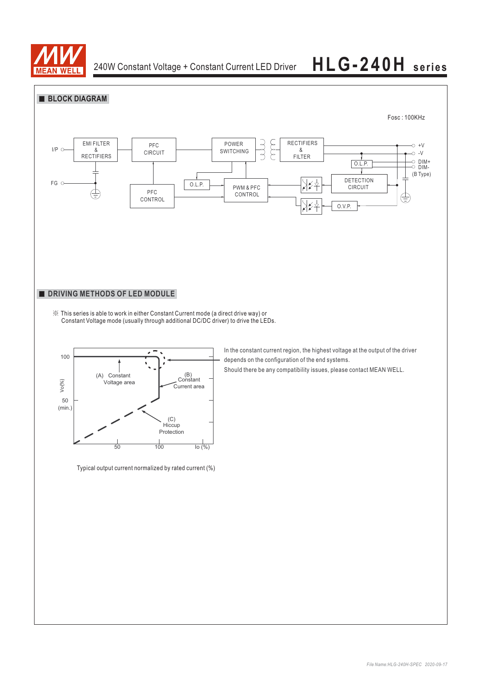

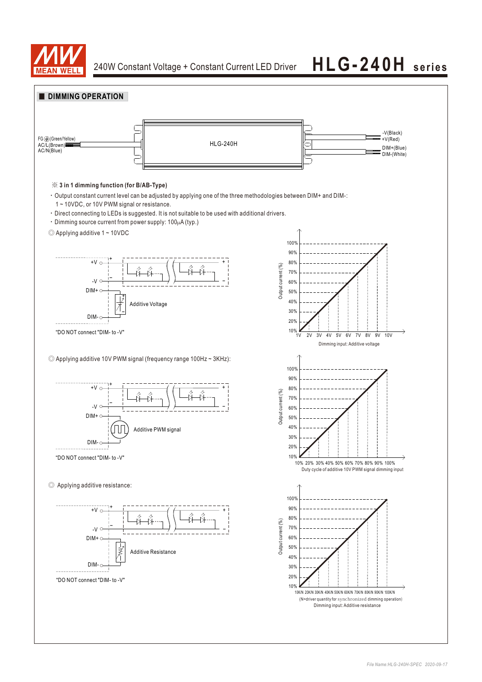

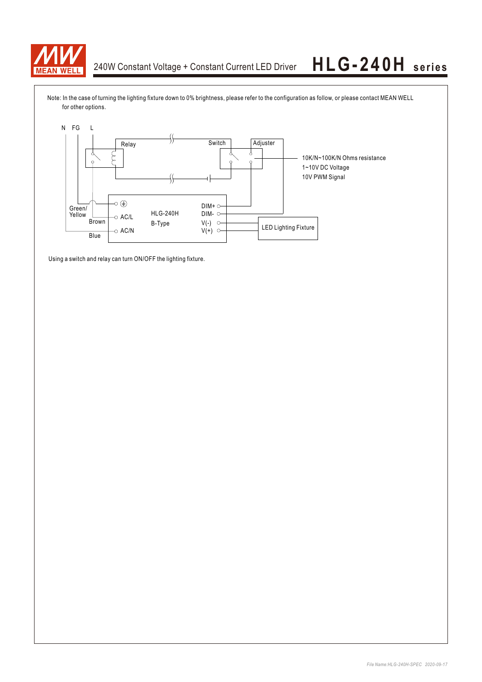

Note: In the case of turning the lighting fixture down to 0% brightness, please refer to the configuration as follow, or please contact MEAN WELL for other options.



Using a switch and relay can turn ON/OFF the lighting fixture.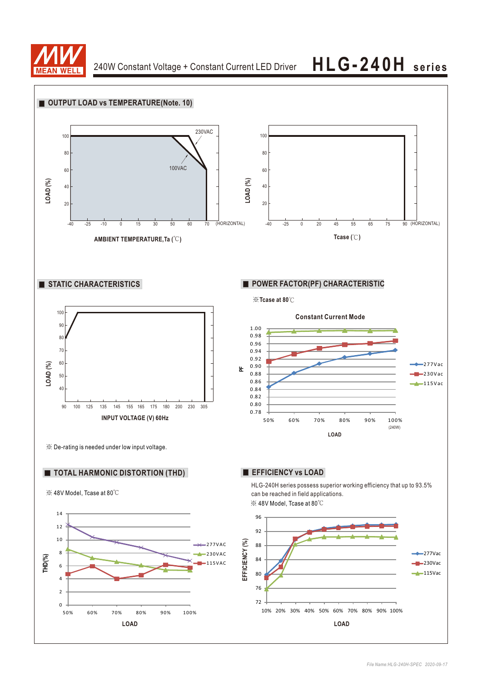

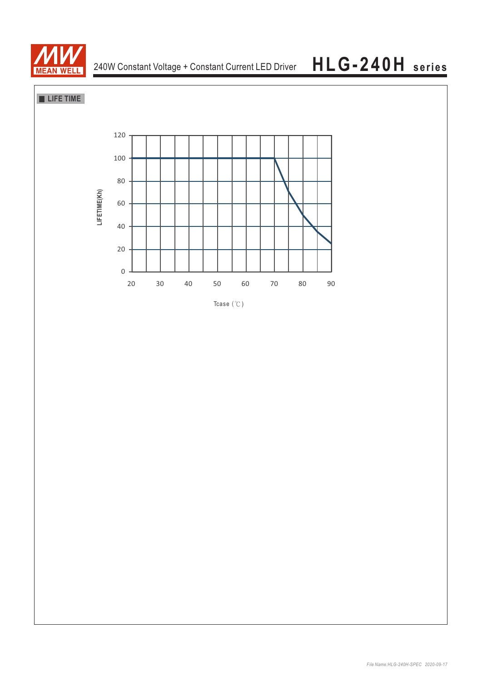

**LIFE TIME** 



Tcase  $($   $\degree$ C)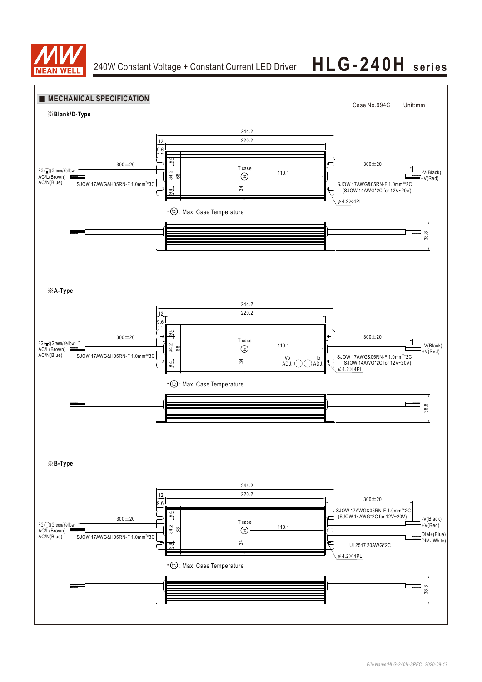

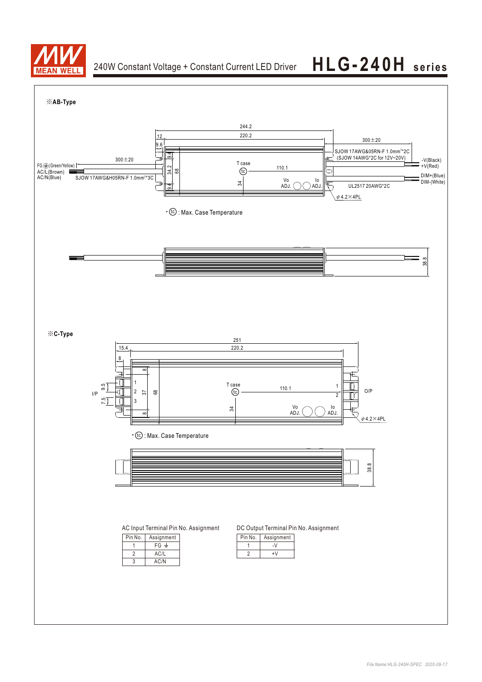